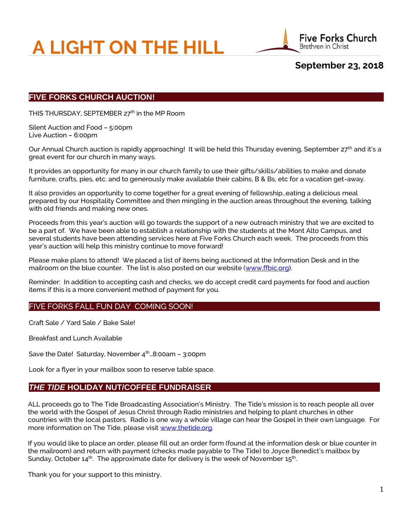# **A LIGHT ON THE HILL**



**September 23, 2018**

# **FIVE FORKS CHURCH AUCTION!**

THIS THURSDAY, SEPTEMBER 27<sup>th</sup> in the MP Room

Silent Auction and Food – 5:00pm Live Auction – 6:00pm

Our Annual Church auction is rapidly approaching! It will be held this Thursday evening, September 27<sup>th</sup> and it's a great event for our church in many ways.

It provides an opportunity for many in our church family to use their gifts/skills/abilities to make and donate furniture, crafts, pies, etc. and to generously make available their cabins, B & Bs, etc for a vacation get-away.

It also provides an opportunity to come together for a great evening of fellowship…eating a delicious meal prepared by our Hospitality Committee and then mingling in the auction areas throughout the evening, talking with old friends and making new ones.

Proceeds from this year's auction will go towards the support of a new outreach ministry that we are excited to be a part of. We have been able to establish a relationship with the students at the Mont Alto Campus, and several students have been attending services here at Five Forks Church each week. The proceeds from this year's auction will help this ministry continue to move forward!

Please make plans to attend! We placed a list of items being auctioned at the Information Desk and in the mailroom on the blue counter. The list is also posted on our website [\(www.ffbic.org\)](http://www.ffbic.org/).

Reminder: In addition to accepting cash and checks, we do accept credit card payments for food and auction items if this is a more convenient method of payment for you.

## FIVE FORKS FALL FUN DAY COMING SOON!

Craft Sale / Yard Sale / Bake Sale!

Breakfast and Lunch Available

Save the Date! Saturday, November  $4<sup>th</sup>$  ...8:00am - 3:00pm

Look for a flyer in your mailbox soon to reserve table space.

## *THE TIDE* **HOLIDAY NUT/COFFEE FUNDRAISER**

ALL proceeds go to The Tide Broadcasting Association's Ministry. The Tide's mission is to reach people all over the world with the Gospel of Jesus Christ through Radio ministries and helping to plant churches in other countries with the local pastors. Radio is one way a whole village can hear the Gospel in their own language. For more information on The Tide, please visit [www.thetide.org.](http://www.thetide.org/)

If you would like to place an order, please fill out an order form (found at the information desk or blue counter in the mailroom) and return with payment (checks made payable to The Tide) to Joyce Benedict's mailbox by Sunday, October 14 $^{\rm th}$ . The approximate date for delivery is the week of November 15 $^{\rm th}$ .

Thank you for your support to this ministry.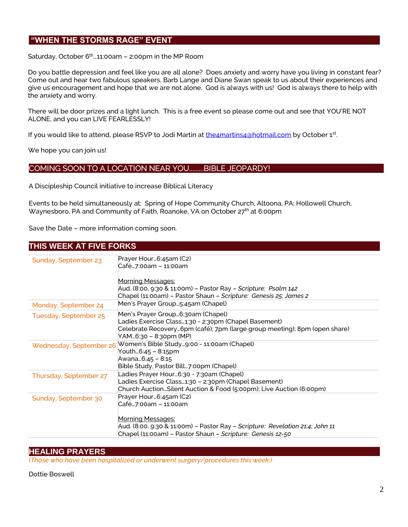# **"WHEN THE STORMS RAGE" EVENT**

Saturday, October  $6<sup>th</sup>$  ... 11:00am - 2:00pm in the MP Room

Do you battle depression and feel like you are all alone? Does anxiety and worry have you living in constant fear? Come out and hear two fabulous speakers, Barb Lange and Diane Swan speak to us about their experiences and give us encouragement and hope that we are not alone. God is always with us! God is always there to help with the anxiety and worry.

There will be door prizes and a light lunch. This is a free event so please come out and see that YOU'RE NOT ALONE, and you can LIVE FEARLESSLY!

If you would like to attend, please RSVP to Jodi Martin at **the4martins4@hotmail.com** by October 1st.

We hope you can join us!

## COMING SOON TO A LOCATION NEAR YOU.........BIBLE JEOPARDY!

A Discipleship Council initiative to increase Biblical Literacy

Events to be held simultaneously at: Spring of Hope Community Church, Altoona, PA; Hollowell Church, Waynesboro, PA and Community of Faith, Roanoke, VA on October 27th at 6:00pm

Save the Date – more information coming soon.

## **THIS WEEK AT FIVE FORKS**

| Sunday, September 23   | Prayer Hour6:45am (C2)                                                        |
|------------------------|-------------------------------------------------------------------------------|
|                        | Café7:00am – 11:00am                                                          |
|                        |                                                                               |
|                        | Morning Messages:                                                             |
|                        | Aud. (8:00, 9:30 & 11:00m) – Pastor Ray – <i>Scripture: Psalm 142</i>         |
|                        | Chapel (11:00am) - Pastor Shaun - Scripture: Genesis 25; James 2              |
| Monday, September 24   | Men's Prayer Group5:45am (Chapel)                                             |
| Tuesday, September 25  | Men's Prayer Group6:30am (Chapel)                                             |
|                        | Ladies Exercise Class1:30 - 2:30pm (Chapel Basement)                          |
|                        | Celebrate Recovery6pm (café); 7pm (large group meeting); 8pm (open share)     |
|                        | YAM6:30 – 8:30pm (MP)                                                         |
|                        | Wednesday, September 26 Women's Bible Study9:00 - 11:00am (Chapel)            |
|                        | Youth6:45 - 8:15pm                                                            |
|                        | Awana 6:45 - 8:15                                                             |
|                        | Bible Study, Pastor Bill7:00pm (Chapel)                                       |
| Thursday, September 27 | Ladies Prayer Hour6:30 - 7:30am (Chapel)                                      |
|                        | Ladies Exercise Class1:30 - 2:30pm (Chapel Basement)                          |
|                        | Church AuctionSilent Auction & Food (5:00pm); Live Auction (6:00pm)           |
| Sunday, September 30   | Prayer Hour6:45am (C2)                                                        |
|                        | Café7:00am – 11:00am                                                          |
|                        |                                                                               |
|                        | <b>Morning Messages:</b>                                                      |
|                        | Aud. (8:00, 9:30 & 11:00m) - Pastor Ray - Scripture: Revelation 21:4; John 11 |
|                        | Chapel (11:00am) - Pastor Shaun - Scripture: Genesis 12-50                    |
|                        |                                                                               |

## **HEALING PRAYERS**

*(Those who have been hospitalized or underwent surgery/procedures this week.)*

Dottie Boswell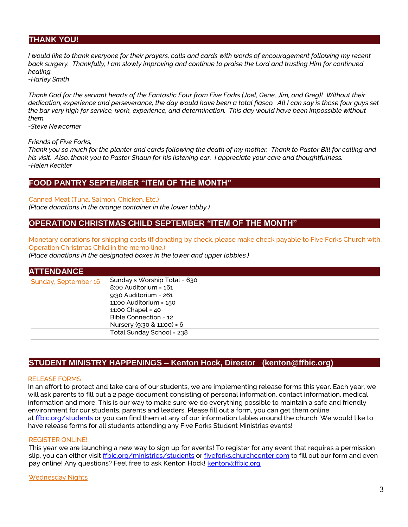# **THANK YOU!**

*I* would like to thank everyone for their prayers, calls and cards with words of encouragement following my recent *back surgery. Thankfully, I am slowly improving and continue to praise the Lord and trusting Him for continued healing.*

*-Harley Smith*

*Thank God for the servant hearts of the Fantastic Four from Five Forks (Joel, Gene, Jim, and Greg)! Without their dedication, experience and perseverance, the day would have been a total fiasco. All I can say is those four guys set the bar very high for service, work, experience, and determination. This day would have been impossible without them.*

*-Steve Newcomer*

#### *Friends of Five Forks,*

*Thank you so much for the planter and cards following the death of my mother. Thank to Pastor Bill for calling and his visit. Also, thank you to Pastor Shaun for his listening ear. I appreciate your care and thoughtfulness. -Helen Keckler*

## **FOOD PANTRY SEPTEMBER "ITEM OF THE MONTH"**

#### Canned Meat (Tuna, Salmon, Chicken, Etc.)

*(Place donations in the orange container in the lower lobby.)*

## **OPERATION CHRISTMAS CHILD SEPTEMBER "ITEM OF THE MONTH"**

Monetary donations for shipping costs (If donating by check, please make check payable to Five Forks Church with Operation Christmas Child in the memo line.)

*(Place donations in the designated boxes in the lower and upper lobbies.)*

| <b>ATTENDANCE</b>    |                                                                                                                                                                                                                                 |
|----------------------|---------------------------------------------------------------------------------------------------------------------------------------------------------------------------------------------------------------------------------|
| Sunday, September 16 | Sunday's Worship Total = 630<br>$8:00$ Auditorium = $161$<br>$9:30$ Auditorium = $261$<br>$11:00$ Auditorium = $150$<br>$11:00$ Chapel = 40<br>Bible Connection = 12<br>Nursery (9:30 & 11:00) = 6<br>Total Sunday School = 238 |

## **STUDENT MINISTRY HAPPENINGS – Kenton Hock, Director (kenton@ffbic.org)**

#### RELEASE FORMS

In an effort to protect and take care of our students, we are implementing release forms this year. Each year, we will ask parents to fill out a 2 page document consisting of personal information, contact information, medical information and more. This is our way to make sure we do everything possible to maintain a safe and friendly environment for our students, parents and leaders. Please fill out a form, you can get them online at [ffbic.org/students](http://ffbic.org/students) or you can find them at any of our information tables around the church. We would like to have release forms for all students attending any Five Forks Student Ministries events!

#### REGISTER ONLINE!

This year we are launching a new way to sign up for events! To register for any event that requires a permission slip, you can either visit [ffbic.org/ministries/students](http://ffbic.org/ministries/students) or [fiveforks.churchcenter.com](http://fiveforks.churchcenter.com/) to fill out our form and even pay online! Any questions? Feel free to ask Kenton Hock! [kenton@ffbic.org](mailto:kenton@ffbic.org)

#### Wednesday Nights